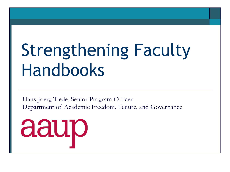# Strengthening Faculty Handbooks

Hans-Joerg Tiede, Senior Program Officer Department of Academic Freedom, Tenure, and Governance

aaup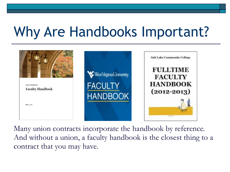## Why Are Handbooks Important?



Many union contracts incorporate the handbook by reference. And without a union, a faculty handbook is the closest thing to a contract that you may have.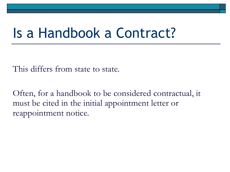### Is a Handbook a Contract?

This differs from state to state.

Often, for a handbook to be considered contractual, it must be cited in the initial appointment letter or reappointment notice.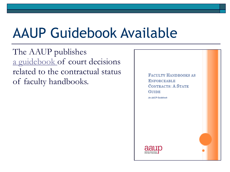## AAUP Guidebook Available

The AAUP publishes [a guidebook](http://www.aaup.org/sites/default/files/files/Faculty%20Handbooks%20as%20Contracts%20Complete.pdf) of court decisions related to the contractual status of faculty handbooks.

**FACULTY HANDBOOKS AS ENFORCEABLE CONTRACTS: A STATE GUIDE** An AAUP Guidebook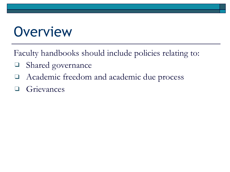### **Overview**

Faculty handbooks should include policies relating to:

- ❑ Shared governance
- ❑ Academic freedom and academic due process
- **Grievances**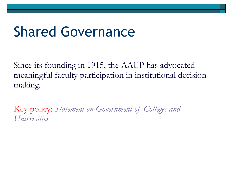### Shared Governance

Since its founding in 1915, the AAUP has advocated meaningful faculty participation in institutional decision making.

Key policy: *[Statement on Government of Colleges and](http://www.aaup.org/report/1966-statement-government-colleges-and-universities)  [Universities](http://www.aaup.org/report/1966-statement-government-colleges-and-universities)*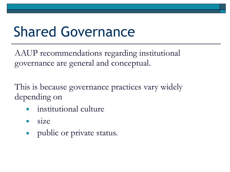## Shared Governance

AAUP recommendations regarding institutional governance are general and conceptual.

This is because governance practices vary widely depending on

- institutional culture
- size
- public or private status.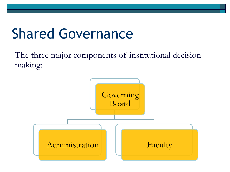## Shared Governance

The three major components of institutional decision making:

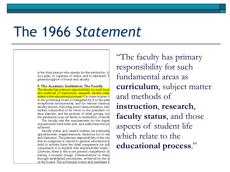### The 1966 *Statement*

is the chief person who speaks for the institution. In is to plan, to organize, to direct, and to represent. T general support of board and faculty.

5. The Academic Institution: The Faculty The faculty has primary responsibility for such fund and methods of instruction, research, faculty statu relate to the educational process.<sup>4</sup> On these matters t in the governing board or delegated by it to the pres exceptional circumstances, and for reasons commur faculty should, following such communication, hav further transmittal of its views to the president or time element, and the policies of other groups, bod the institution may set limits to realization of facult

The faculty sets the requirements for the degre requirements have been met, and authorizes the pri achieved.

Faculty status and related matters are primarily appointments, reappointments, decisions not to rea and dismissal. The primary responsibility of the fad that its judgment is central to general educational  $\sharp$ field or activity have the chief competence for jud competence it is implicit that responsibility exists Likewise, there is the more general competence of having a broader charge. Determinations in these through established procedures, reviewed by the d of the board. The governing board and president sl

"The faculty has primary responsibility for such fundamental areas as **curriculum**, subject matter and methods of **instruction**, **research**, **faculty status**, and those aspects of student life which relate to the **educational process**."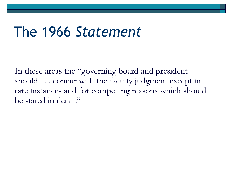### The 1966 *Statement*

In these areas the "governing board and president should . . . concur with the faculty judgment except in rare instances and for compelling reasons which should be stated in detail."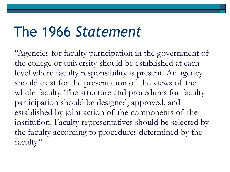### The 1966 *Statement*

"Agencies for faculty participation in the government of the college or university should be established at each level where faculty responsibility is present. An agency should exist for the presentation of the views of the whole faculty. The structure and procedures for faculty participation should be designed, approved, and established by joint action of the components of the institution. Faculty representatives should be selected by the faculty according to procedures determined by the faculty."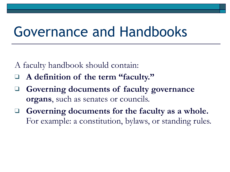A faculty handbook should contain:

- ❑ **A definition of the term "faculty."**
- ❑ **Governing documents of faculty governance organs**, such as senates or councils.
- ❑ **Governing documents for the faculty as a whole.**  For example: a constitution, bylaws, or standing rules.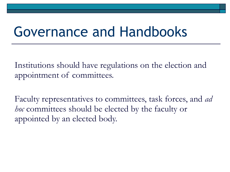Institutions should have regulations on the election and appointment of committees.

Faculty representatives to committees, task forces, and *ad hoc* committees should be elected by the faculty or appointed by an elected body.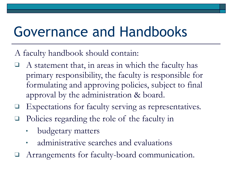- A faculty handbook should contain:
- A statement that, in areas in which the faculty has primary responsibility, the faculty is responsible for formulating and approving policies, subject to final approval by the administration & board.
- Expectations for faculty serving as representatives.
- Policies regarding the role of the faculty in
	- budgetary matters
	- administrative searches and evaluations
- Arrangements for faculty-board communication.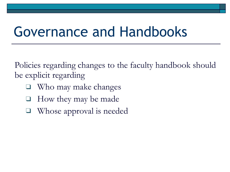Policies regarding changes to the faculty handbook should be explicit regarding

- Who may make changes
- ❑ How they may be made
- Whose approval is needed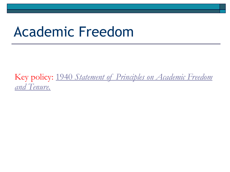### Academic Freedom

Key policy: [1940](http://www.aaup.org/report/1940-statement-principles-academic-freedom-and-tenure) *[Statement of Principles on Academic Freedom](http://www.aaup.org/report/1940-statement-principles-academic-freedom-and-tenure)  [and Tenure.](http://www.aaup.org/report/1940-statement-principles-academic-freedom-and-tenure)*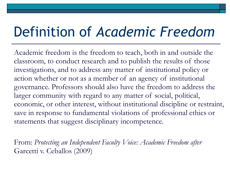## Definition of *Academic Freedom*

 Academic freedom is the freedom to teach, both in and outside the classroom, to conduct research and to publish the results of those investigations, and to address any matter of institutional policy or action whether or not as a member of an agency of institutional governance. Professors should also have the freedom to address the larger community with regard to any matter of social, political, economic, or other interest, without institutional discipline or restraint, save in response to fundamental violations of professional ethics or statements that suggest disciplinary incompetence.

 From: *Protecting an Independent Faculty Voice: Academic Freedom after*  Garcetti v. Ceballos (2009)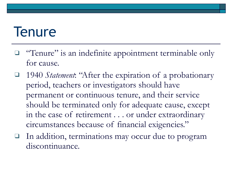### **Tenure**

- □ "Tenure" is an indefinite appointment terminable only for cause.
- ❑ 1940 *Statement*: "After the expiration of a probationary period, teachers or investigators should have permanent or continuous tenure, and their service should be terminated only for adequate cause, except in the case of retirement . . . or under extraordinary circumstances because of financial exigencies."
- ❑ In addition, terminations may occur due to program discontinuance.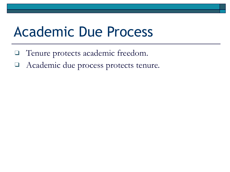### Academic Due Process

- ❑ Tenure protects academic freedom.
- ❑ Academic due process protects tenure.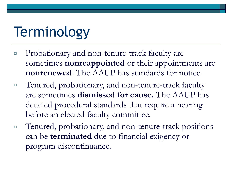## **Terminology**

- □ Probationary and non-tenure-track faculty are sometimes **nonreappointed** or their appointments are **nonrenewed**. The AAUP has standards for notice.
- □ Tenured, probationary, and non-tenure-track faculty are sometimes **dismissed for cause.** The AAUP has detailed procedural standards that require a hearing before an elected faculty committee.
- □ Tenured, probationary, and non-tenure-track positions can be **terminated** due to financial exigency or program discontinuance.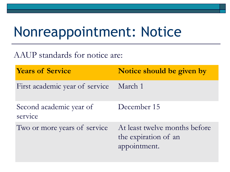## Nonreappointment: Notice

AAUP standards for notice are:

**Years of Service Notice should be given by** First academic year of service March 1

Second academic year of service December 15

Two or more years of service At least twelve months before the expiration of an appointment.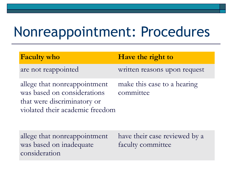## Nonreappointment: Procedures

| <b>Faculty who</b>                                                                                                            | Have the right to                        |
|-------------------------------------------------------------------------------------------------------------------------------|------------------------------------------|
| are not reappointed                                                                                                           | written reasons upon request             |
| allege that nonreappointment<br>was based on considerations<br>that were discriminatory or<br>violated their academic freedom | make this case to a hearing<br>committee |

allege that nonreappointment was based on inadequate consideration

have their case reviewed by a faculty committee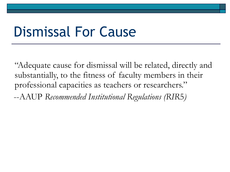### Dismissal For Cause

"Adequate cause for dismissal will be related, directly and substantially, to the fitness of faculty members in their professional capacities as teachers or researchers."

--AAUP *Recommended Institutional Regulations (RIR*5*)*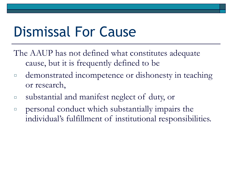## Dismissal For Cause

- The AAUP has not defined what constitutes adequate cause, but it is frequently defined to be
- □ demonstrated incompetence or dishonesty in teaching or research,
- □ substantial and manifest neglect of duty, or
- $\Box$  personal conduct which substantially impairs the individual's fulfillment of institutional responsibilities.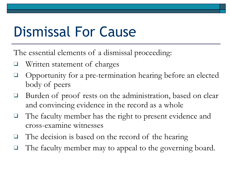## Dismissal For Cause

The essential elements of a dismissal proceeding:

- ❑ Written statement of charges
- ❑ Opportunity for a pre-termination hearing before an elected body of peers
- ❑ Burden of proof rests on the administration, based on clear and convincing evidence in the record as a whole
- ❑ The faculty member has the right to present evidence and cross-examine witnesses
- The decision is based on the record of the hearing
- The faculty member may to appeal to the governing board.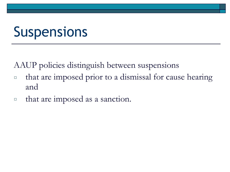## **Suspensions**

AAUP policies distinguish between suspensions

- □ that are imposed prior to a dismissal for cause hearing and
- □ that are imposed as a sanction.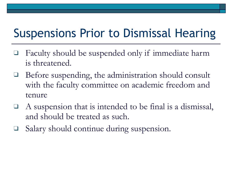#### Suspensions Prior to Dismissal Hearing

- Faculty should be suspended only if immediate harm is threatened.
- Before suspending, the administration should consult with the faculty committee on academic freedom and tenure
- A suspension that is intended to be final is a dismissal, and should be treated as such.
- Salary should continue during suspension.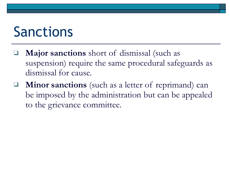### Sanctions

- Major sanctions short of dismissal (such as suspension) require the same procedural safeguards as dismissal for cause.
- ❑ **Minor sanctions** (such as a letter of reprimand) can be imposed by the administration but can be appealed to the grievance committee.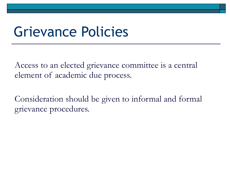### Grievance Policies

Access to an elected grievance committee is a central element of academic due process.

Consideration should be given to informal and formal grievance procedures.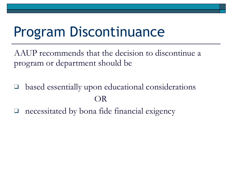## Program Discontinuance

 AAUP recommends that the decision to discontinue a program or department should be

based essentially upon educational considerations OR

necessitated by bona fide financial exigency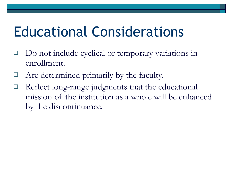## Educational Considerations

- Do not include cyclical or temporary variations in enrollment.
- Are determined primarily by the faculty.
- ❑ Reflect long-range judgments that the educational mission of the institution as a whole will be enhanced by the discontinuance.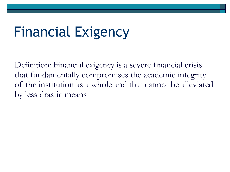## Financial Exigency

Definition: Financial exigency is a severe financial crisis that fundamentally compromises the academic integrity of the institution as a whole and that cannot be alleviated by less drastic means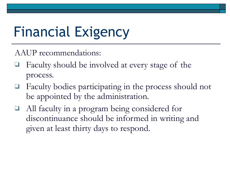## Financial Exigency

AAUP recommendations:

- Faculty should be involved at every stage of the process.
- Faculty bodies participating in the process should not be appointed by the administration.
- All faculty in a program being considered for discontinuance should be informed in writing and given at least thirty days to respond.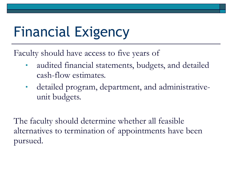## Financial Exigency

Faculty should have access to five years of

- audited financial statements, budgets, and detailed cash-flow estimates.
- detailed program, department, and administrativeunit budgets.

The faculty should determine whether all feasible alternatives to termination of appointments have been pursued.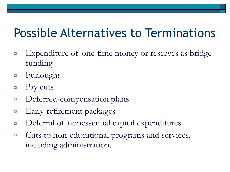### Possible Alternatives to Terminations

- □ Expenditure of one-time money or reserves as bridge funding
- □ Furloughs
- $\Box$  Pay cuts
- □ Deferred-compensation plans
- □ Early-retirement packages
- □ Deferral of nonessential capital expenditures
- □ Cuts to non-educational programs and services, including administration.